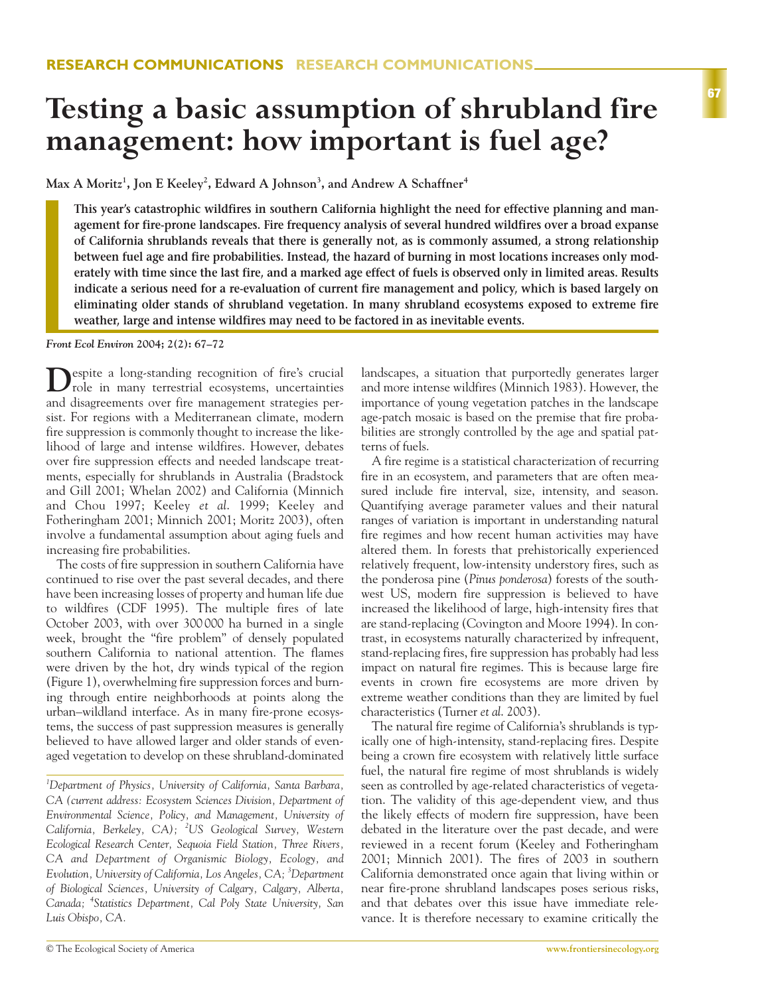# **Testing a basic assumption of shrubland fire management: how important is fuel age?**

 $\mathbf{Max\ A\ Moritz}^{1}\mathbf{,}\ \mathbf{Jon\ E\ Keeley}^{2}\mathbf{,}\ \mathbf{Edward\ A\ Johnson}^{3}\mathbf{,}\ \mathbf{and\ Andrew\ A\ Schaffner}^{4}\ \mathbf{.}$ 

**This year's catastrophic wildfires in southern California highlight the need for effective planning and management for fire-prone landscapes. Fire frequency analysis of several hundred wildfires over a broad expanse of California shrublands reveals that there is generally not, as is commonly assumed, a strong relationship between fuel age and fire probabilities. Instead, the hazard of burning in most locations increases only moderately with time since the last fire, and a marked age effect of fuels is observed only in limited areas. Results indicate a serious need for a re-evaluation of current fire management and policy, which is based largely on eliminating older stands of shrubland vegetation. In many shrubland ecosystems exposed to extreme fire weather, large and intense wildfires may need to be factored in as inevitable events.**

*Front Ecol Environ* **2004; 2(2): 67–72**

**D**espite a long-standing recognition of fire's crucial<br>role in many terrestrial ecosystems, uncertainties and disagreements over fire management strategies persist. For regions with a Mediterranean climate, modern fire suppression is commonly thought to increase the likelihood of large and intense wildfires. However, debates over fire suppression effects and needed landscape treatments, especially for shrublands in Australia (Bradstock and Gill 2001; Whelan 2002) and California (Minnich and Chou 1997; Keeley *et al*. 1999; Keeley and Fotheringham 2001; Minnich 2001; Moritz 2003), often involve a fundamental assumption about aging fuels and increasing fire probabilities.

The costs of fire suppression in southern California have continued to rise over the past several decades, and there have been increasing losses of property and human life due to wildfires (CDF 1995). The multiple fires of late October 2003, with over 300 000 ha burned in a single week, brought the "fire problem" of densely populated southern California to national attention. The flames were driven by the hot, dry winds typical of the region (Figure 1), overwhelming fire suppression forces and burning through entire neighborhoods at points along the urban–wildland interface. As in many fire-prone ecosystems, the success of past suppression measures is generally believed to have allowed larger and older stands of evenaged vegetation to develop on these shrubland-dominated

*1 Department of Physics, University of California, Santa Barbara, CA (current address: Ecosystem Sciences Division, Department of Environmental Science, Policy, and Management, University of California, Berkeley, CA); <sup>2</sup> US Geological Survey, Western Ecological Research Center, Sequoia Field Station, Three Rivers, CA and Department of Organismic Biology, Ecology, and Evolution, University of California, Los Angeles, CA; 3 Department of Biological Sciences, University of Calgary, Calgary, Alberta, Canada; <sup>4</sup> Statistics Department, Cal Poly State University, San Luis Obispo, CA.*

landscapes, a situation that purportedly generates larger and more intense wildfires (Minnich 1983). However, the importance of young vegetation patches in the landscape age-patch mosaic is based on the premise that fire probabilities are strongly controlled by the age and spatial patterns of fuels.

A fire regime is a statistical characterization of recurring fire in an ecosystem, and parameters that are often measured include fire interval, size, intensity, and season. Quantifying average parameter values and their natural ranges of variation is important in understanding natural fire regimes and how recent human activities may have altered them. In forests that prehistorically experienced relatively frequent, low-intensity understory fires, such as the ponderosa pine (*Pinus ponderosa*) forests of the southwest US, modern fire suppression is believed to have increased the likelihood of large, high-intensity fires that are stand-replacing (Covington and Moore 1994). In contrast, in ecosystems naturally characterized by infrequent, stand-replacing fires, fire suppression has probably had less impact on natural fire regimes. This is because large fire events in crown fire ecosystems are more driven by extreme weather conditions than they are limited by fuel characteristics (Turner *et al*. 2003).

The natural fire regime of California's shrublands is typically one of high-intensity, stand-replacing fires. Despite being a crown fire ecosystem with relatively little surface fuel, the natural fire regime of most shrublands is widely seen as controlled by age-related characteristics of vegetation. The validity of this age-dependent view, and thus the likely effects of modern fire suppression, have been debated in the literature over the past decade, and were reviewed in a recent forum (Keeley and Fotheringham 2001; Minnich 2001). The fires of 2003 in southern California demonstrated once again that living within or near fire-prone shrubland landscapes poses serious risks, and that debates over this issue have immediate relevance. It is therefore necessary to examine critically the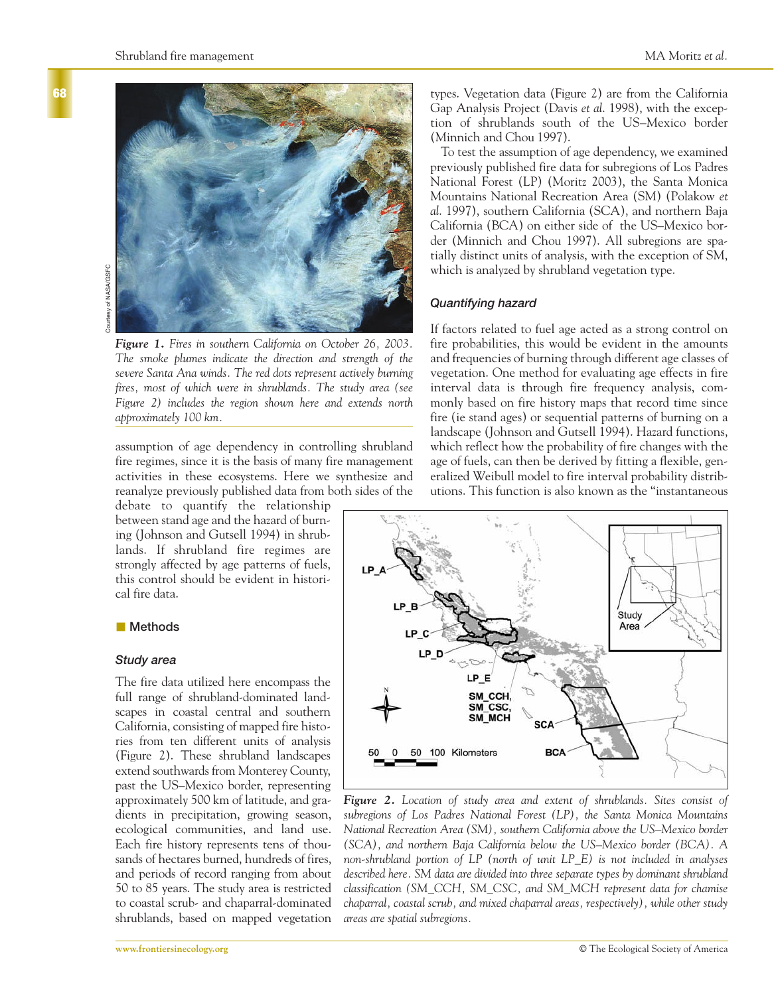

Courtesy of NASA/GSFC

tesy of NASA/GSFC



*Figure 1. Fires in southern California on October 26, 2003. The smoke plumes indicate the direction and strength of the severe Santa Ana winds. The red dots represent actively burning fires, most of which were in shrublands. The study area (see Figure 2) includes the region shown here and extends north approximately 100 km.*

assumption of age dependency in controlling shrubland fire regimes, since it is the basis of many fire management activities in these ecosystems. Here we synthesize and reanalyze previously published data from both sides of the

debate to quantify the relationship between stand age and the hazard of burning (Johnson and Gutsell 1994) in shrublands. If shrubland fire regimes are strongly affected by age patterns of fuels, this control should be evident in historical fire data.

# **Methods**

#### *Study area*

The fire data utilized here encompass the full range of shrubland-dominated landscapes in coastal central and southern California, consisting of mapped fire histories from ten different units of analysis (Figure 2). These shrubland landscapes extend southwards from Monterey County, past the US–Mexico border, representing approximately 500 km of latitude, and gradients in precipitation, growing season, ecological communities, and land use. Each fire history represents tens of thousands of hectares burned, hundreds of fires, and periods of record ranging from about 50 to 85 years. The study area is restricted to coastal scrub- and chaparral-dominated shrublands, based on mapped vegetation types. Vegetation data (Figure 2) are from the California Gap Analysis Project (Davis *et al*. 1998), with the exception of shrublands south of the US–Mexico border (Minnich and Chou 1997).

To test the assumption of age dependency, we examined previously published fire data for subregions of Los Padres National Forest (LP) (Moritz 2003), the Santa Monica Mountains National Recreation Area (SM) (Polakow *et al*. 1997), southern California (SCA), and northern Baja California (BCA) on either side of the US–Mexico border (Minnich and Chou 1997). All subregions are spatially distinct units of analysis, with the exception of SM, which is analyzed by shrubland vegetation type.

### *Quantifying hazard*

If factors related to fuel age acted as a strong control on fire probabilities, this would be evident in the amounts and frequencies of burning through different age classes of vegetation. One method for evaluating age effects in fire interval data is through fire frequency analysis, commonly based on fire history maps that record time since fire (ie stand ages) or sequential patterns of burning on a landscape (Johnson and Gutsell 1994). Hazard functions, which reflect how the probability of fire changes with the age of fuels, can then be derived by fitting a flexible, generalized Weibull model to fire interval probability distributions. This function is also known as the "instantaneous



*Figure 2. Location of study area and extent of shrublands. Sites consist of subregions of Los Padres National Forest (LP), the Santa Monica Mountains National Recreation Area (SM), southern California above the US–Mexico border (SCA), and northern Baja California below the US–Mexico border (BCA). A non-shrubland portion of LP (north of unit LP\_E) is not included in analyses described here. SM data are divided into three separate types by dominant shrubland classification (SM\_CCH, SM\_CSC, and SM\_MCH represent data for chamise chaparral, coastal scrub, and mixed chaparral areas, respectively), while other study areas are spatial subregions.*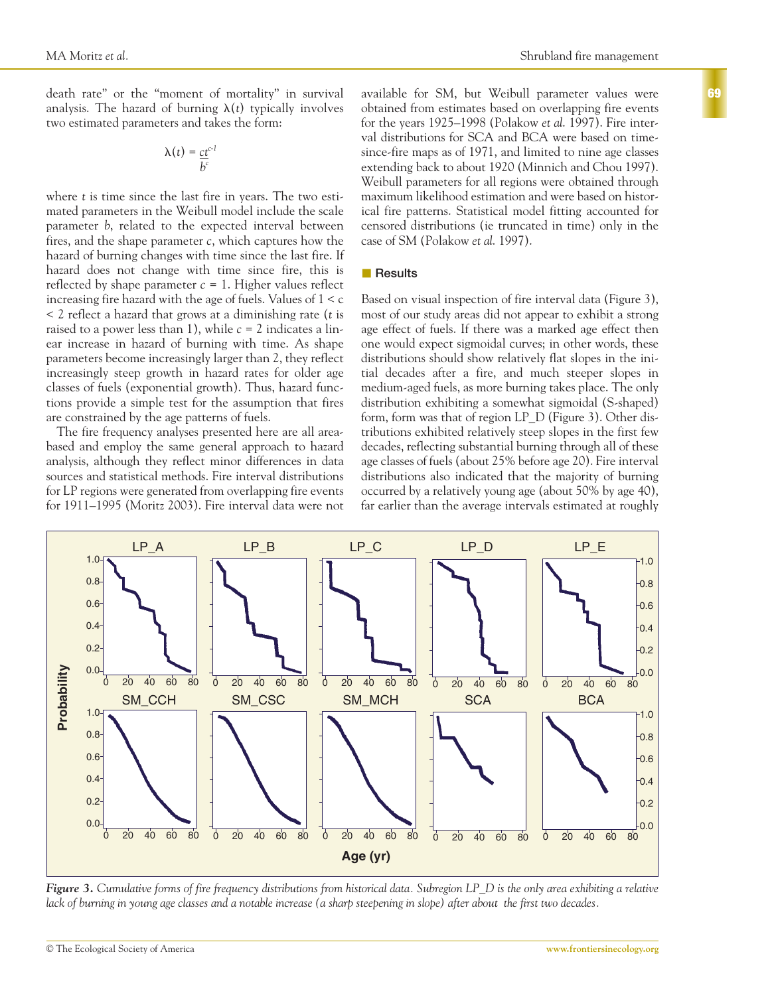death rate" or the "moment of mortality" in survival analysis. The hazard of burning  $\lambda(t)$  typically involves two estimated parameters and takes the form:

$$
\lambda(t) = \frac{ct^{c-1}}{b^c}
$$

where *t* is time since the last fire in years. The two estimated parameters in the Weibull model include the scale parameter *b*, related to the expected interval between fires, and the shape parameter *c*, which captures how the hazard of burning changes with time since the last fire. If hazard does not change with time since fire, this is reflected by shape parameter  $c = 1$ . Higher values reflect increasing fire hazard with the age of fuels. Values of  $1 < c$ < 2 reflect a hazard that grows at a diminishing rate (*t* is raised to a power less than 1), while *c* = 2 indicates a linear increase in hazard of burning with time. As shape parameters become increasingly larger than 2, they reflect increasingly steep growth in hazard rates for older age classes of fuels (exponential growth). Thus, hazard functions provide a simple test for the assumption that fires are constrained by the age patterns of fuels.

The fire frequency analyses presented here are all areabased and employ the same general approach to hazard analysis, although they reflect minor differences in data sources and statistical methods. Fire interval distributions for LP regions were generated from overlapping fire events for 1911–1995 (Moritz 2003). Fire interval data were not

available for SM, but Weibull parameter values were obtained from estimates based on overlapping fire events for the years 1925–1998 (Polakow *et al*. 1997). Fire interval distributions for SCA and BCA were based on timesince-fire maps as of 1971, and limited to nine age classes extending back to about 1920 (Minnich and Chou 1997). Weibull parameters for all regions were obtained through maximum likelihood estimation and were based on historical fire patterns. Statistical model fitting accounted for censored distributions (ie truncated in time) only in the case of SM (Polakow *et al*. 1997).

# **Results**

Based on visual inspection of fire interval data (Figure 3), most of our study areas did not appear to exhibit a strong age effect of fuels. If there was a marked age effect then one would expect sigmoidal curves; in other words, these distributions should show relatively flat slopes in the initial decades after a fire, and much steeper slopes in medium-aged fuels, as more burning takes place. The only distribution exhibiting a somewhat sigmoidal (S-shaped) form, form was that of region LP\_D (Figure 3). Other distributions exhibited relatively steep slopes in the first few decades, reflecting substantial burning through all of these age classes of fuels (about 25% before age 20). Fire interval distributions also indicated that the majority of burning occurred by a relatively young age (about 50% by age 40), far earlier than the average intervals estimated at roughly



*Figure 3. Cumulative forms of fire frequency distributions from historical data. Subregion LP\_D is the only area exhibiting a relative lack of burning in young age classes and a notable increase (a sharp steepening in slope) after about the first two decades.*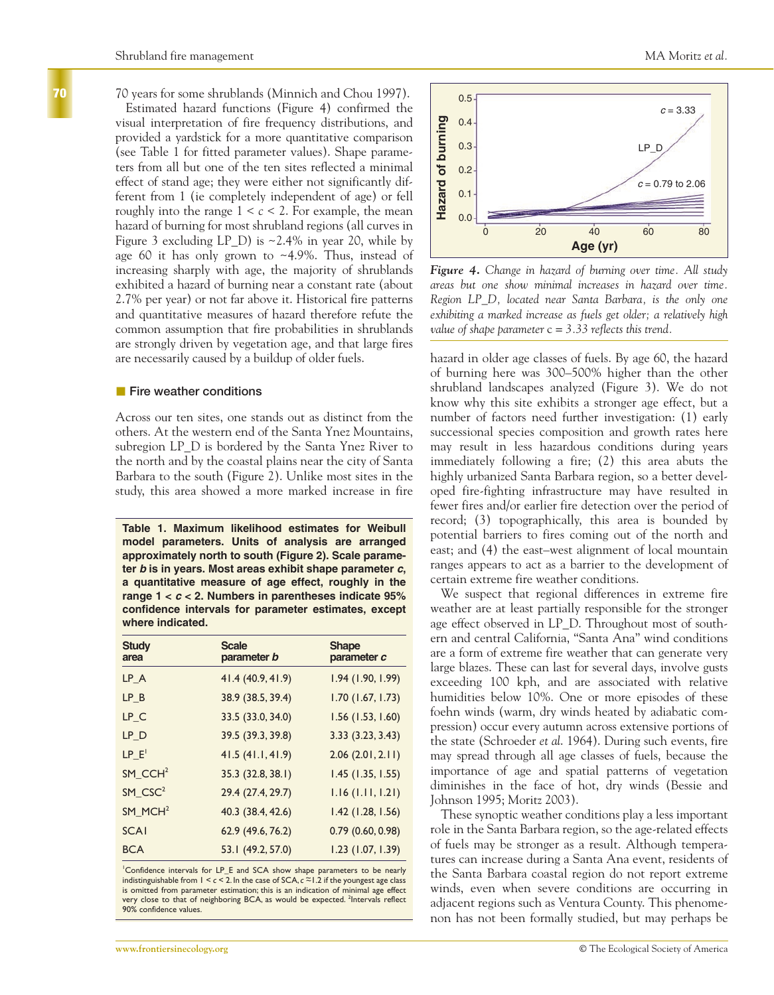70 years for some shrublands (Minnich and Chou 1997). Estimated hazard functions (Figure 4) confirmed the visual interpretation of fire frequency distributions, and provided a yardstick for a more quantitative comparison (see Table 1 for fitted parameter values). Shape parameters from all but one of the ten sites reflected a minimal effect of stand age; they were either not significantly different from 1 (ie completely independent of age) or fell roughly into the range  $1 < c < 2$ . For example, the mean hazard of burning for most shrubland regions (all curves in Figure 3 excluding  $LP$ <sub>D</sub>) is  $\sim$  2.4% in year 20, while by age 60 it has only grown to  $~1.9\%$ . Thus, instead of increasing sharply with age, the majority of shrublands exhibited a hazard of burning near a constant rate (about 2.7% per year) or not far above it. Historical fire patterns and quantitative measures of hazard therefore refute the common assumption that fire probabilities in shrublands are strongly driven by vegetation age, and that large fires are necessarily caused by a buildup of older fuels.

# **Fire weather conditions**

Across our ten sites, one stands out as distinct from the others. At the western end of the Santa Ynez Mountains, subregion LP\_D is bordered by the Santa Ynez River to the north and by the coastal plains near the city of Santa Barbara to the south (Figure 2). Unlike most sites in the study, this area showed a more marked increase in fire

**Table 1. Maximum likelihood estimates for Weibull model parameters. Units of analysis are arranged approximately north to south (Figure 2). Scale parameter** *b* **is in years. Most areas exhibit shape parameter** *c***, a quantitative measure of age effect, roughly in the range 1 <** *c* **< 2. Numbers in parentheses indicate 95% confidence intervals for parameter estimates, except where indicated.**

| <b>Study</b><br>area | <b>Scale</b><br>parameter <i>b</i> | <b>Shape</b><br>parameter c |
|----------------------|------------------------------------|-----------------------------|
| LP A                 | 41.4 (40.9, 41.9)                  | 1.94 (1.90, 1.99)           |
| LP B                 | 38.9 (38.5, 39.4)                  | 1.70(1.67, 1.73)            |
| LP C                 | 33.5 (33.0, 34.0)                  | $1.56$ (1.53, 1.60)         |
| LP D                 | 39.5 (39.3, 39.8)                  | 3.33(3.23, 3.43)            |
| $LP_E'$              | 41.5(41.1, 41.9)                   | 2.06(2.01, 2.11)            |
| SM_CCH <sup>2</sup>  | 35.3 (32.8, 38.1)                  | $1.45$ (1.35, 1.55)         |
| SM_CSC <sup>2</sup>  | 29.4 (27.4, 29.7)                  | 1.16(1.11, 1.21)            |
| SM_MCH <sup>2</sup>  | 40.3 (38.4, 42.6)                  | $1.42$ (1.28, 1.56)         |
| <b>SCAI</b>          | 62.9 (49.6, 76.2)                  | 0.79(0.60, 0.98)            |
| <b>BCA</b>           | 53.1 (49.2, 57.0)                  | $1.23$ (1.07, 1.39)         |

'Confidence intervals for LP\_E and SCA show shape parameters to be nearly indistinguishable from  $1 < c < 2$ . In the case of SCA,  $c \approx 1.2$  if the youngest age class is omitted from parameter estimation; this is an indication of minimal age effect very close to that of neighboring BCA, as would be expected. <sup>2</sup>Intervals reflect 90% confidence values.



*Figure 4. Change in hazard of burning over time. All study areas but one show minimal increases in hazard over time. Region LP\_D, located near Santa Barbara, is the only one exhibiting a marked increase as fuels get older; a relatively high value of shape parameter* c *= 3.33 reflects this trend.*

hazard in older age classes of fuels. By age 60, the hazard of burning here was 300–500% higher than the other shrubland landscapes analyzed (Figure 3). We do not know why this site exhibits a stronger age effect, but a number of factors need further investigation: (1) early successional species composition and growth rates here may result in less hazardous conditions during years immediately following a fire; (2) this area abuts the highly urbanized Santa Barbara region, so a better developed fire-fighting infrastructure may have resulted in fewer fires and/or earlier fire detection over the period of record; (3) topographically, this area is bounded by potential barriers to fires coming out of the north and east; and (4) the east–west alignment of local mountain ranges appears to act as a barrier to the development of certain extreme fire weather conditions.

We suspect that regional differences in extreme fire weather are at least partially responsible for the stronger age effect observed in LP\_D. Throughout most of southern and central California, "Santa Ana" wind conditions are a form of extreme fire weather that can generate very large blazes. These can last for several days, involve gusts exceeding 100 kph, and are associated with relative humidities below 10%. One or more episodes of these foehn winds (warm, dry winds heated by adiabatic compression) occur every autumn across extensive portions of the state (Schroeder *et al*. 1964). During such events, fire may spread through all age classes of fuels, because the importance of age and spatial patterns of vegetation diminishes in the face of hot, dry winds (Bessie and Johnson 1995; Moritz 2003).

These synoptic weather conditions play a less important role in the Santa Barbara region, so the age-related effects of fuels may be stronger as a result. Although temperatures can increase during a Santa Ana event, residents of the Santa Barbara coastal region do not report extreme winds, even when severe conditions are occurring in adjacent regions such as Ventura County. This phenomenon has not been formally studied, but may perhaps be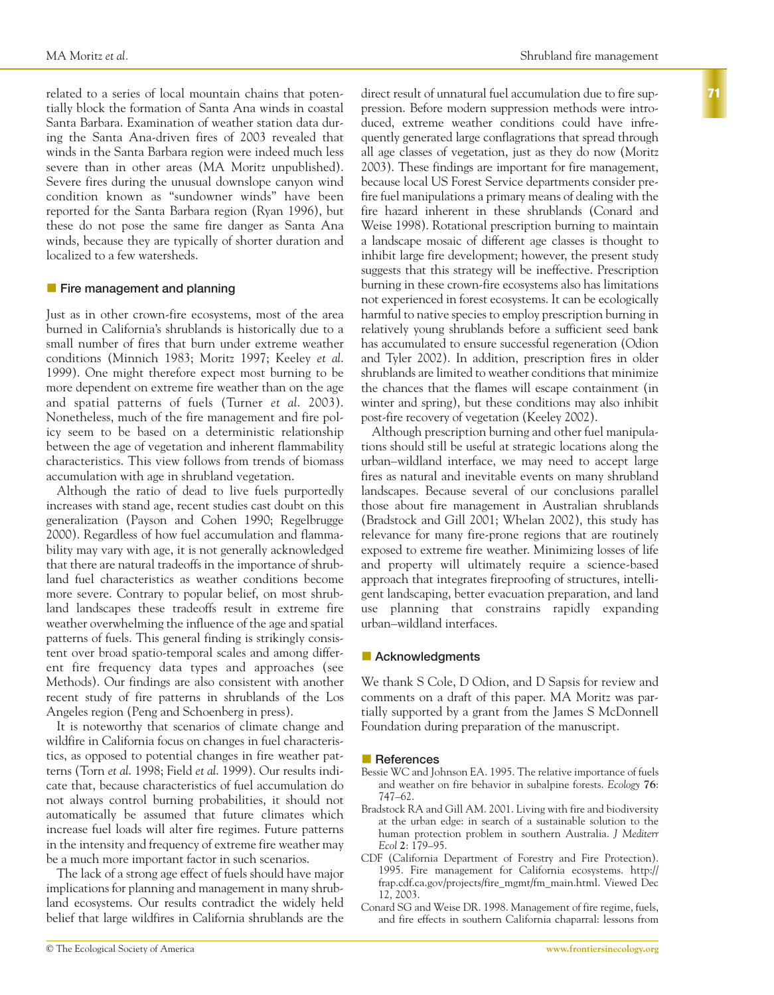**71**

related to a series of local mountain chains that potentially block the formation of Santa Ana winds in coastal Santa Barbara. Examination of weather station data during the Santa Ana-driven fires of 2003 revealed that winds in the Santa Barbara region were indeed much less severe than in other areas (MA Moritz unpublished). Severe fires during the unusual downslope canyon wind condition known as "sundowner winds" have been reported for the Santa Barbara region (Ryan 1996), but these do not pose the same fire danger as Santa Ana winds, because they are typically of shorter duration and localized to a few watersheds.

# **Fire management and planning**

Just as in other crown-fire ecosystems, most of the area burned in California's shrublands is historically due to a small number of fires that burn under extreme weather conditions (Minnich 1983; Moritz 1997; Keeley *et al*. 1999). One might therefore expect most burning to be more dependent on extreme fire weather than on the age and spatial patterns of fuels (Turner *et al*. 2003). Nonetheless, much of the fire management and fire policy seem to be based on a deterministic relationship between the age of vegetation and inherent flammability characteristics. This view follows from trends of biomass accumulation with age in shrubland vegetation.

Although the ratio of dead to live fuels purportedly increases with stand age, recent studies cast doubt on this generalization (Payson and Cohen 1990; Regelbrugge 2000). Regardless of how fuel accumulation and flammability may vary with age, it is not generally acknowledged that there are natural tradeoffs in the importance of shrubland fuel characteristics as weather conditions become more severe. Contrary to popular belief, on most shrubland landscapes these tradeoffs result in extreme fire weather overwhelming the influence of the age and spatial patterns of fuels. This general finding is strikingly consistent over broad spatio-temporal scales and among different fire frequency data types and approaches (see Methods). Our findings are also consistent with another recent study of fire patterns in shrublands of the Los Angeles region (Peng and Schoenberg in press).

It is noteworthy that scenarios of climate change and wildfire in California focus on changes in fuel characteristics, as opposed to potential changes in fire weather patterns (Torn *et al*. 1998; Field *et al*. 1999). Our results indicate that, because characteristics of fuel accumulation do not always control burning probabilities, it should not automatically be assumed that future climates which increase fuel loads will alter fire regimes. Future patterns in the intensity and frequency of extreme fire weather may be a much more important factor in such scenarios.

The lack of a strong age effect of fuels should have major implications for planning and management in many shrubland ecosystems. Our results contradict the widely held belief that large wildfires in California shrublands are the

direct result of unnatural fuel accumulation due to fire suppression. Before modern suppression methods were introduced, extreme weather conditions could have infrequently generated large conflagrations that spread through all age classes of vegetation, just as they do now (Moritz 2003). These findings are important for fire management, because local US Forest Service departments consider prefire fuel manipulations a primary means of dealing with the fire hazard inherent in these shrublands (Conard and Weise 1998). Rotational prescription burning to maintain a landscape mosaic of different age classes is thought to inhibit large fire development; however, the present study suggests that this strategy will be ineffective. Prescription burning in these crown-fire ecosystems also has limitations not experienced in forest ecosystems. It can be ecologically harmful to native species to employ prescription burning in relatively young shrublands before a sufficient seed bank has accumulated to ensure successful regeneration (Odion and Tyler 2002). In addition, prescription fires in older shrublands are limited to weather conditions that minimize the chances that the flames will escape containment (in winter and spring), but these conditions may also inhibit post-fire recovery of vegetation (Keeley 2002).

Although prescription burning and other fuel manipulations should still be useful at strategic locations along the urban–wildland interface, we may need to accept large fires as natural and inevitable events on many shrubland landscapes. Because several of our conclusions parallel those about fire management in Australian shrublands (Bradstock and Gill 2001; Whelan 2002), this study has relevance for many fire-prone regions that are routinely exposed to extreme fire weather. Minimizing losses of life and property will ultimately require a science-based approach that integrates fireproofing of structures, intelligent landscaping, better evacuation preparation, and land use planning that constrains rapidly expanding urban–wildland interfaces.

# $\blacksquare$  Acknowledgments

We thank S Cole, D Odion, and D Sapsis for review and comments on a draft of this paper. MA Moritz was partially supported by a grant from the James S McDonnell Foundation during preparation of the manuscript.

# **References**

- Bessie WC and Johnson EA. 1995. The relative importance of fuels and weather on fire behavior in subalpine forests. *Ecology* **76**: 747–62.
- Bradstock RA and Gill AM. 2001. Living with fire and biodiversity at the urban edge: in search of a sustainable solution to the human protection problem in southern Australia. *J Mediterr Ecol* **2**: 179–95.
- CDF (California Department of Forestry and Fire Protection). 1995. Fire management for California ecosystems. http:// frap.cdf.ca.gov/projects/fire\_mgmt/fm\_main.html. Viewed Dec 12, 2003.
- Conard SG and Weise DR. 1998. Management of fire regime, fuels, and fire effects in southern California chaparral: lessons from